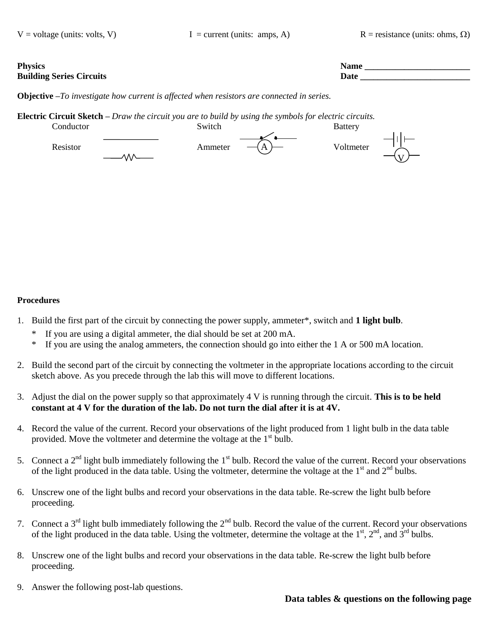**Physics Name \_\_\_\_\_\_\_\_\_\_\_\_\_\_\_\_\_\_\_\_\_\_\_\_ Building Series Circuits Date \_\_\_\_\_\_\_\_\_\_\_\_\_\_\_\_\_\_\_\_\_\_\_\_\_**

**Objective –***To investigate how current is affected when resistors are connected in series.* 

**Electric Circuit Sketch –** *Draw the circuit you are to build by using the symbols for electric circuits.*



## **Procedures**

- 1. Build the first part of the circuit by connecting the power supply, ammeter\*, switch and **1 light bulb**.
	- If you are using a digital ammeter, the dial should be set at 200 mA.
	- \* If you are using the analog ammeters, the connection should go into either the 1 A or 500 mA location.
- 2. Build the second part of the circuit by connecting the voltmeter in the appropriate locations according to the circuit sketch above. As you precede through the lab this will move to different locations.
- 3. Adjust the dial on the power supply so that approximately 4 V is running through the circuit. **This is to be held constant at 4 V for the duration of the lab. Do not turn the dial after it is at 4V.**
- 4. Record the value of the current. Record your observations of the light produced from 1 light bulb in the data table provided. Move the voltmeter and determine the voltage at the  $1<sup>st</sup>$  bulb.
- 5. Connect a  $2<sup>nd</sup>$  light bulb immediately following the  $1<sup>st</sup>$  bulb. Record the value of the current. Record your observations of the light produced in the data table. Using the voltmeter, determine the voltage at the 1<sup>st</sup> and 2<sup>nd</sup> bulbs.
- 6. Unscrew one of the light bulbs and record your observations in the data table. Re-screw the light bulb before proceeding.
- 7. Connect a 3<sup>rd</sup> light bulb immediately following the 2<sup>nd</sup> bulb. Record the value of the current. Record your observations of the light produced in the data table. Using the voltmeter, determine the voltage at the  $1<sup>st</sup>$ ,  $2<sup>nd</sup>$ , and  $3<sup>rd</sup>$  bulbs.
- 8. Unscrew one of the light bulbs and record your observations in the data table. Re-screw the light bulb before proceeding.
- 9. Answer the following post-lab questions.

# **Data tables & questions on the following page**